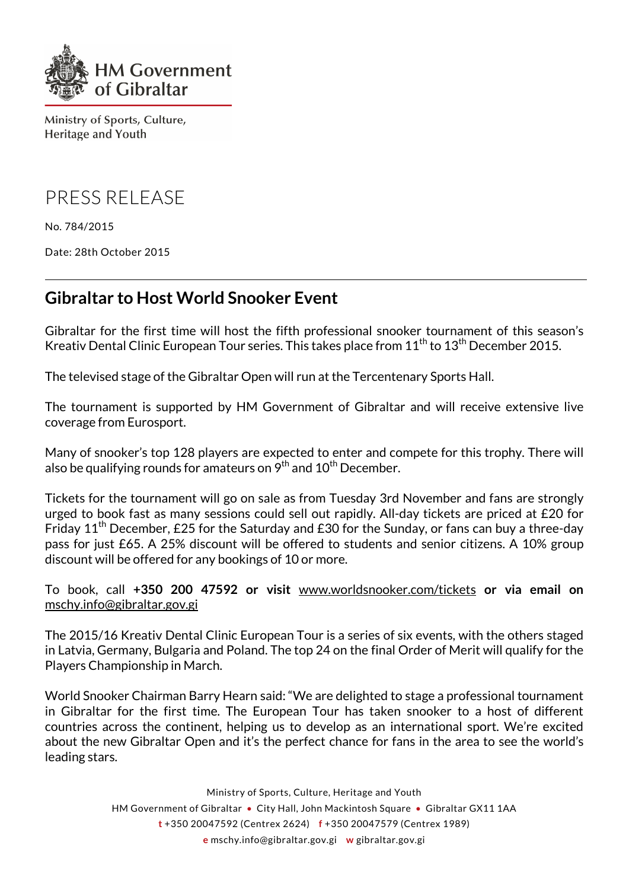

Ministry of Sports, Culture, **Heritage and Youth** 

PRESS RELEASE

No. 784/2015

Date: 28th October 2015

## **Gibraltar to Host World Snooker Event**

Gibraltar for the first time will host the fifth professional snooker tournament of this season's Kreativ Dental Clinic European Tour series. This takes place from  $11<sup>th</sup>$  to  $13<sup>th</sup>$  December 2015.

The televised stage of the Gibraltar Open will run at the Tercentenary Sports Hall.

The tournament is supported by HM Government of Gibraltar and will receive extensive live coverage from Eurosport.

Many of snooker's top 128 players are expected to enter and compete for this trophy. There will also be qualifying rounds for amateurs on  $9<sup>th</sup>$  and  $10<sup>th</sup>$  December.

Tickets for the tournament will go on sale as from Tuesday 3rd November and fans are strongly urged to book fast as many sessions could sell out rapidly. All-day tickets are priced at £20 for Friday  $11<sup>th</sup>$  December, £25 for the Saturday and £30 for the Sunday, or fans can buy a three-day pass for just £65. A 25% discount will be offered to students and senior citizens. A 10% group discount will be offered for any bookings of 10 or more.

To book, call **+350 200 47592 or visit** www.worldsnooker.com/tickets **or via email on**  mschy.info@gibraltar.gov.gi

The 2015/16 Kreativ Dental Clinic European Tour is a series of six events, with the others staged in Latvia, Germany, Bulgaria and Poland. The top 24 on the final Order of Merit will qualify for the Players Championship in March.

World Snooker Chairman Barry Hearn said: "We are delighted to stage a professional tournament in Gibraltar for the first time. The European Tour has taken snooker to a host of different countries across the continent, helping us to develop as an international sport. We're excited about the new Gibraltar Open and it's the perfect chance for fans in the area to see the world's leading stars.